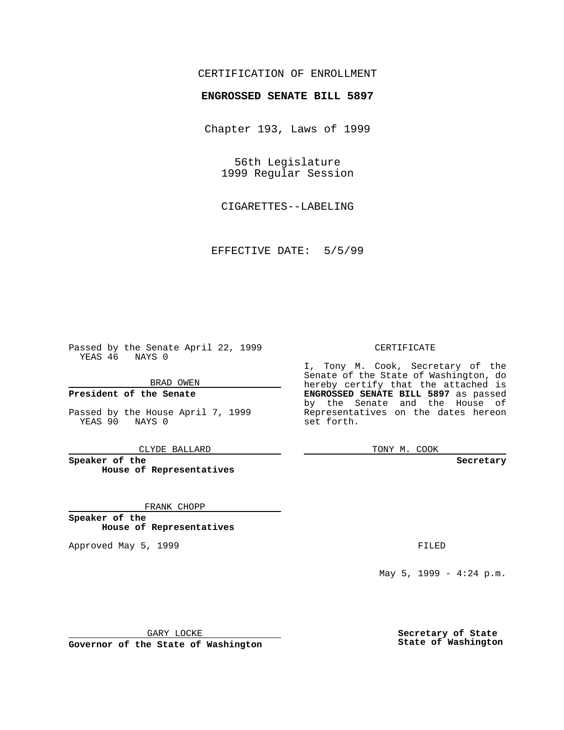## CERTIFICATION OF ENROLLMENT

# **ENGROSSED SENATE BILL 5897**

Chapter 193, Laws of 1999

56th Legislature 1999 Regular Session

CIGARETTES--LABELING

EFFECTIVE DATE: 5/5/99

Passed by the Senate April 22, 1999 YEAS 46 NAYS 0

BRAD OWEN

**President of the Senate**

Passed by the House April 7, 1999 YEAS 90 NAYS 0

CLYDE BALLARD

**Speaker of the House of Representatives**

FRANK CHOPP

**Speaker of the House of Representatives**

Approved May 5, 1999 **FILED** 

#### CERTIFICATE

I, Tony M. Cook, Secretary of the Senate of the State of Washington, do hereby certify that the attached is **ENGROSSED SENATE BILL 5897** as passed by the Senate and the House of Representatives on the dates hereon set forth.

TONY M. COOK

#### **Secretary**

May 5, 1999 - 4:24 p.m.

GARY LOCKE

**Governor of the State of Washington**

**Secretary of State State of Washington**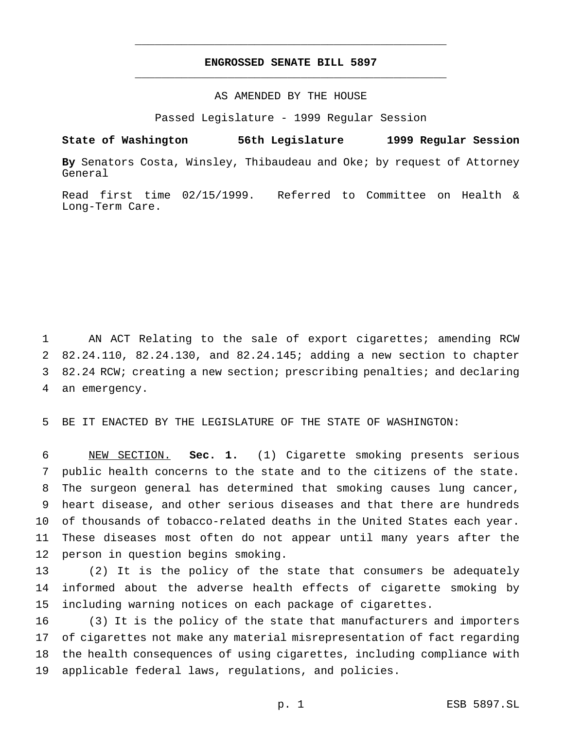## **ENGROSSED SENATE BILL 5897** \_\_\_\_\_\_\_\_\_\_\_\_\_\_\_\_\_\_\_\_\_\_\_\_\_\_\_\_\_\_\_\_\_\_\_\_\_\_\_\_\_\_\_\_\_\_\_

\_\_\_\_\_\_\_\_\_\_\_\_\_\_\_\_\_\_\_\_\_\_\_\_\_\_\_\_\_\_\_\_\_\_\_\_\_\_\_\_\_\_\_\_\_\_\_

### AS AMENDED BY THE HOUSE

Passed Legislature - 1999 Regular Session

**State of Washington 56th Legislature 1999 Regular Session**

**By** Senators Costa, Winsley, Thibaudeau and Oke; by request of Attorney General

Read first time 02/15/1999. Referred to Committee on Health & Long-Term Care.

 AN ACT Relating to the sale of export cigarettes; amending RCW 82.24.110, 82.24.130, and 82.24.145; adding a new section to chapter 82.24 RCW; creating a new section; prescribing penalties; and declaring an emergency.

BE IT ENACTED BY THE LEGISLATURE OF THE STATE OF WASHINGTON:

 NEW SECTION. **Sec. 1.** (1) Cigarette smoking presents serious public health concerns to the state and to the citizens of the state. The surgeon general has determined that smoking causes lung cancer, heart disease, and other serious diseases and that there are hundreds of thousands of tobacco-related deaths in the United States each year. These diseases most often do not appear until many years after the person in question begins smoking.

 (2) It is the policy of the state that consumers be adequately informed about the adverse health effects of cigarette smoking by including warning notices on each package of cigarettes.

 (3) It is the policy of the state that manufacturers and importers of cigarettes not make any material misrepresentation of fact regarding the health consequences of using cigarettes, including compliance with applicable federal laws, regulations, and policies.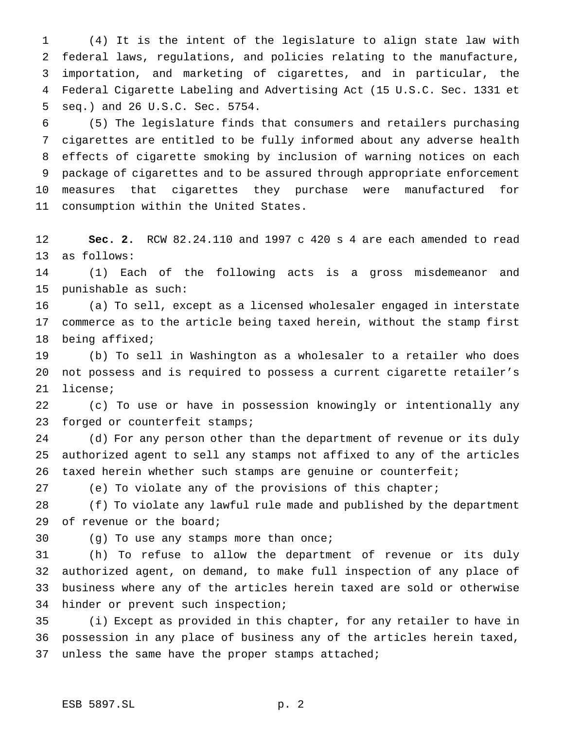(4) It is the intent of the legislature to align state law with federal laws, regulations, and policies relating to the manufacture, importation, and marketing of cigarettes, and in particular, the Federal Cigarette Labeling and Advertising Act (15 U.S.C. Sec. 1331 et seq.) and 26 U.S.C. Sec. 5754.

 (5) The legislature finds that consumers and retailers purchasing cigarettes are entitled to be fully informed about any adverse health effects of cigarette smoking by inclusion of warning notices on each package of cigarettes and to be assured through appropriate enforcement measures that cigarettes they purchase were manufactured for consumption within the United States.

 **Sec. 2.** RCW 82.24.110 and 1997 c 420 s 4 are each amended to read as follows:

 (1) Each of the following acts is a gross misdemeanor and punishable as such:

 (a) To sell, except as a licensed wholesaler engaged in interstate commerce as to the article being taxed herein, without the stamp first being affixed;

 (b) To sell in Washington as a wholesaler to a retailer who does not possess and is required to possess a current cigarette retailer's license;

 (c) To use or have in possession knowingly or intentionally any 23 forged or counterfeit stamps;

 (d) For any person other than the department of revenue or its duly authorized agent to sell any stamps not affixed to any of the articles taxed herein whether such stamps are genuine or counterfeit;

(e) To violate any of the provisions of this chapter;

 (f) To violate any lawful rule made and published by the department of revenue or the board;

(g) To use any stamps more than once;

 (h) To refuse to allow the department of revenue or its duly authorized agent, on demand, to make full inspection of any place of business where any of the articles herein taxed are sold or otherwise hinder or prevent such inspection;

 (i) Except as provided in this chapter, for any retailer to have in possession in any place of business any of the articles herein taxed, 37 unless the same have the proper stamps attached;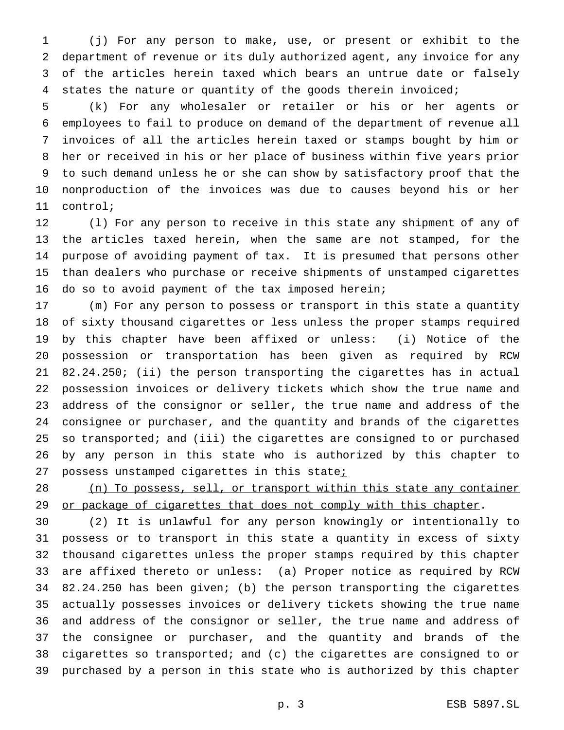(j) For any person to make, use, or present or exhibit to the department of revenue or its duly authorized agent, any invoice for any of the articles herein taxed which bears an untrue date or falsely states the nature or quantity of the goods therein invoiced;

 (k) For any wholesaler or retailer or his or her agents or employees to fail to produce on demand of the department of revenue all invoices of all the articles herein taxed or stamps bought by him or her or received in his or her place of business within five years prior to such demand unless he or she can show by satisfactory proof that the nonproduction of the invoices was due to causes beyond his or her control;

 (l) For any person to receive in this state any shipment of any of the articles taxed herein, when the same are not stamped, for the purpose of avoiding payment of tax. It is presumed that persons other than dealers who purchase or receive shipments of unstamped cigarettes do so to avoid payment of the tax imposed herein;

 (m) For any person to possess or transport in this state a quantity of sixty thousand cigarettes or less unless the proper stamps required by this chapter have been affixed or unless: (i) Notice of the possession or transportation has been given as required by RCW 82.24.250; (ii) the person transporting the cigarettes has in actual possession invoices or delivery tickets which show the true name and address of the consignor or seller, the true name and address of the consignee or purchaser, and the quantity and brands of the cigarettes so transported; and (iii) the cigarettes are consigned to or purchased by any person in this state who is authorized by this chapter to 27 possess unstamped cigarettes in this state;

28 (n) To possess, sell, or transport within this state any container 29 or package of cigarettes that does not comply with this chapter.

 (2) It is unlawful for any person knowingly or intentionally to possess or to transport in this state a quantity in excess of sixty thousand cigarettes unless the proper stamps required by this chapter are affixed thereto or unless: (a) Proper notice as required by RCW 82.24.250 has been given; (b) the person transporting the cigarettes actually possesses invoices or delivery tickets showing the true name and address of the consignor or seller, the true name and address of the consignee or purchaser, and the quantity and brands of the cigarettes so transported; and (c) the cigarettes are consigned to or purchased by a person in this state who is authorized by this chapter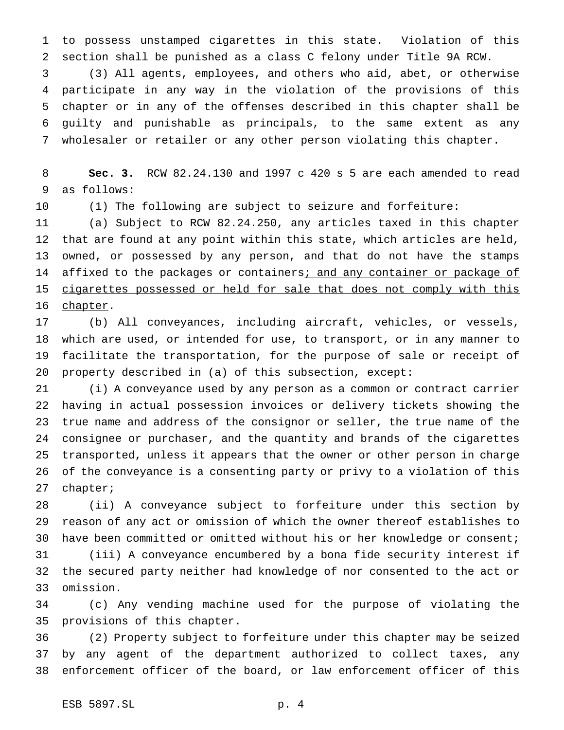to possess unstamped cigarettes in this state. Violation of this section shall be punished as a class C felony under Title 9A RCW.

 (3) All agents, employees, and others who aid, abet, or otherwise participate in any way in the violation of the provisions of this chapter or in any of the offenses described in this chapter shall be guilty and punishable as principals, to the same extent as any wholesaler or retailer or any other person violating this chapter.

 **Sec. 3.** RCW 82.24.130 and 1997 c 420 s 5 are each amended to read as follows:

(1) The following are subject to seizure and forfeiture:

 (a) Subject to RCW 82.24.250, any articles taxed in this chapter that are found at any point within this state, which articles are held, owned, or possessed by any person, and that do not have the stamps 14 affixed to the packages or containers; and any container or package of cigarettes possessed or held for sale that does not comply with this chapter.

 (b) All conveyances, including aircraft, vehicles, or vessels, which are used, or intended for use, to transport, or in any manner to facilitate the transportation, for the purpose of sale or receipt of property described in (a) of this subsection, except:

 (i) A conveyance used by any person as a common or contract carrier having in actual possession invoices or delivery tickets showing the true name and address of the consignor or seller, the true name of the consignee or purchaser, and the quantity and brands of the cigarettes transported, unless it appears that the owner or other person in charge of the conveyance is a consenting party or privy to a violation of this chapter;

 (ii) A conveyance subject to forfeiture under this section by reason of any act or omission of which the owner thereof establishes to have been committed or omitted without his or her knowledge or consent;

 (iii) A conveyance encumbered by a bona fide security interest if the secured party neither had knowledge of nor consented to the act or omission.

 (c) Any vending machine used for the purpose of violating the provisions of this chapter.

 (2) Property subject to forfeiture under this chapter may be seized by any agent of the department authorized to collect taxes, any enforcement officer of the board, or law enforcement officer of this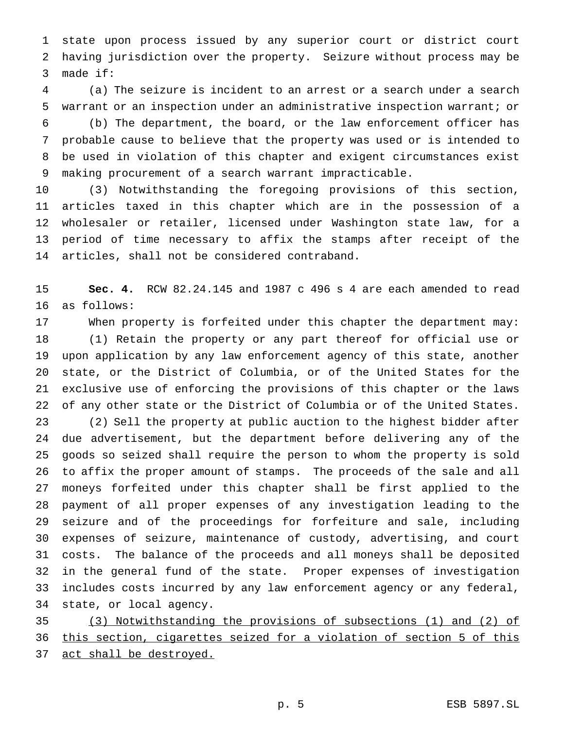state upon process issued by any superior court or district court having jurisdiction over the property. Seizure without process may be made if:

 (a) The seizure is incident to an arrest or a search under a search warrant or an inspection under an administrative inspection warrant; or (b) The department, the board, or the law enforcement officer has probable cause to believe that the property was used or is intended to be used in violation of this chapter and exigent circumstances exist making procurement of a search warrant impracticable.

 (3) Notwithstanding the foregoing provisions of this section, articles taxed in this chapter which are in the possession of a wholesaler or retailer, licensed under Washington state law, for a period of time necessary to affix the stamps after receipt of the articles, shall not be considered contraband.

 **Sec. 4.** RCW 82.24.145 and 1987 c 496 s 4 are each amended to read as follows:

 When property is forfeited under this chapter the department may: (1) Retain the property or any part thereof for official use or upon application by any law enforcement agency of this state, another state, or the District of Columbia, or of the United States for the exclusive use of enforcing the provisions of this chapter or the laws of any other state or the District of Columbia or of the United States. (2) Sell the property at public auction to the highest bidder after due advertisement, but the department before delivering any of the goods so seized shall require the person to whom the property is sold to affix the proper amount of stamps. The proceeds of the sale and all moneys forfeited under this chapter shall be first applied to the payment of all proper expenses of any investigation leading to the seizure and of the proceedings for forfeiture and sale, including expenses of seizure, maintenance of custody, advertising, and court costs. The balance of the proceeds and all moneys shall be deposited in the general fund of the state. Proper expenses of investigation includes costs incurred by any law enforcement agency or any federal, state, or local agency.

 (3) Notwithstanding the provisions of subsections (1) and (2) of this section, cigarettes seized for a violation of section 5 of this 37 act shall be destroyed.